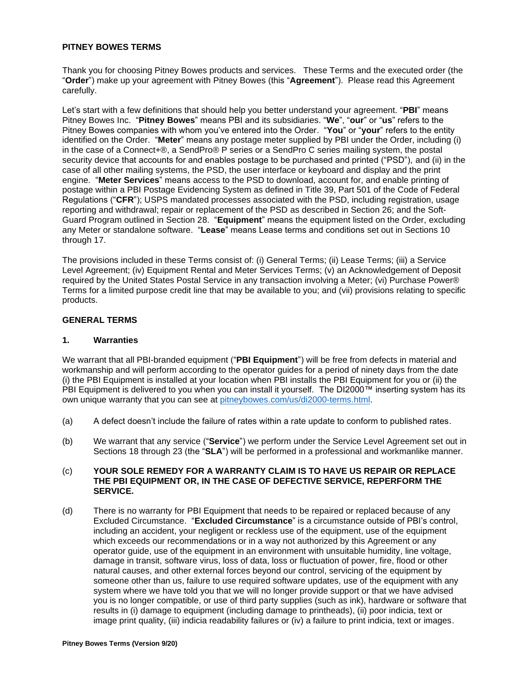#### **PITNEY BOWES TERMS**

Thank you for choosing Pitney Bowes products and services. These Terms and the executed order (the "**Order**") make up your agreement with Pitney Bowes (this "**Agreement**"). Please read this Agreement carefully.

Let's start with a few definitions that should help you better understand your agreement. "**PBI**" means Pitney Bowes Inc. "**Pitney Bowes**" means PBI and its subsidiaries. "**We**", "**our**" or "**us**" refers to the Pitney Bowes companies with whom you've entered into the Order. "**You**" or "**your**" refers to the entity identified on the Order. "**Meter**" means any postage meter supplied by PBI under the Order, including (i) in the case of a Connect+®, a SendPro® P series or a SendPro C series mailing system, the postal security device that accounts for and enables postage to be purchased and printed ("PSD"), and (ii) in the case of all other mailing systems, the PSD, the user interface or keyboard and display and the print engine. "**Meter Services**" means access to the PSD to download, account for, and enable printing of postage within a PBI Postage Evidencing System as defined in Title 39, Part 501 of the Code of Federal Regulations ("**CFR**"); USPS mandated processes associated with the PSD, including registration, usage reporting and withdrawal; repair or replacement of the PSD as described in Section 26; and the Soft-Guard Program outlined in Section 28. "**Equipment**" means the equipment listed on the Order, excluding any Meter or standalone software. "**Lease**" means Lease terms and conditions set out in Sections 10 through 17.

The provisions included in these Terms consist of: (i) General Terms; (ii) Lease Terms; (iii) a Service Level Agreement; (iv) Equipment Rental and Meter Services Terms; (v) an Acknowledgement of Deposit required by the United States Postal Service in any transaction involving a Meter; (vi) Purchase Power® Terms for a limited purpose credit line that may be available to you; and (vii) provisions relating to specific products.

# **GENERAL TERMS**

#### **1. Warranties**

We warrant that all PBI-branded equipment ("**PBI Equipment**") will be free from defects in material and workmanship and will perform according to the operator guides for a period of ninety days from the date (i) the PBI Equipment is installed at your location when PBI installs the PBI Equipment for you or (ii) the PBI Equipment is delivered to you when you can install it yourself. The DI2000™ inserting system has its own unique warranty that you can see at [pitneybowes.com/us/di2000-terms.html.](http://www.pitneybowes.com/us/di2000-terms.html)

- (a) A defect doesn't include the failure of rates within a rate update to conform to published rates.
- (b) We warrant that any service ("**Service**") we perform under the Service Level Agreement set out in Sections 18 through 23 (the "**SLA**") will be performed in a professional and workmanlike manner.

#### (c) **YOUR SOLE REMEDY FOR A WARRANTY CLAIM IS TO HAVE US REPAIR OR REPLACE THE PBI EQUIPMENT OR, IN THE CASE OF DEFECTIVE SERVICE, REPERFORM THE SERVICE.**

(d) There is no warranty for PBI Equipment that needs to be repaired or replaced because of any Excluded Circumstance. "**Excluded Circumstance**" is a circumstance outside of PBI's control, including an accident, your negligent or reckless use of the equipment, use of the equipment which exceeds our recommendations or in a way not authorized by this Agreement or any operator guide, use of the equipment in an environment with unsuitable humidity, line voltage, damage in transit, software virus, loss of data, loss or fluctuation of power, fire, flood or other natural causes, and other external forces beyond our control, servicing of the equipment by someone other than us, failure to use required software updates, use of the equipment with any system where we have told you that we will no longer provide support or that we have advised you is no longer compatible, or use of third party supplies (such as ink), hardware or software that results in (i) damage to equipment (including damage to printheads), (ii) poor indicia, text or image print quality, (iii) indicia readability failures or (iv) a failure to print indicia, text or images.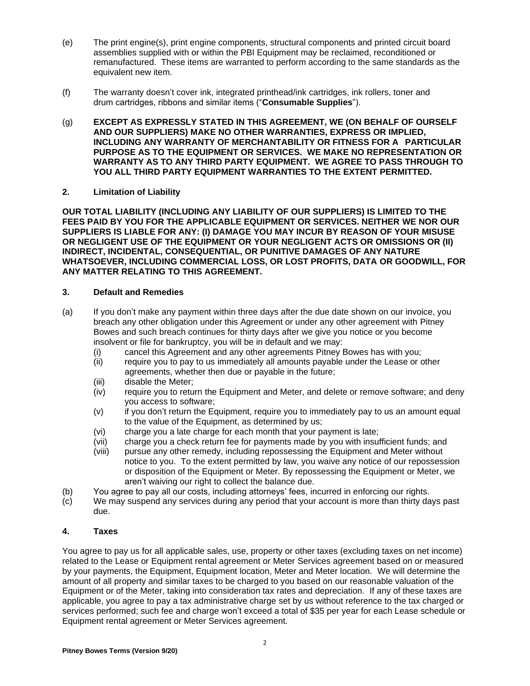- (e) The print engine(s), print engine components, structural components and printed circuit board assemblies supplied with or within the PBI Equipment may be reclaimed, reconditioned or remanufactured. These items are warranted to perform according to the same standards as the equivalent new item.
- (f) The warranty doesn't cover ink, integrated printhead/ink cartridges, ink rollers, toner and drum cartridges, ribbons and similar items ("**Consumable Supplies**").
- (g) **EXCEPT AS EXPRESSLY STATED IN THIS AGREEMENT, WE (ON BEHALF OF OURSELF AND OUR SUPPLIERS) MAKE NO OTHER WARRANTIES, EXPRESS OR IMPLIED, INCLUDING ANY WARRANTY OF MERCHANTABILITY OR FITNESS FOR A PARTICULAR PURPOSE AS TO THE EQUIPMENT OR SERVICES. WE MAKE NO REPRESENTATION OR WARRANTY AS TO ANY THIRD PARTY EQUIPMENT. WE AGREE TO PASS THROUGH TO YOU ALL THIRD PARTY EQUIPMENT WARRANTIES TO THE EXTENT PERMITTED.**

#### **2. Limitation of Liability**

**OUR TOTAL LIABILITY (INCLUDING ANY LIABILITY OF OUR SUPPLIERS) IS LIMITED TO THE FEES PAID BY YOU FOR THE APPLICABLE EQUIPMENT OR SERVICES. NEITHER WE NOR OUR SUPPLIERS IS LIABLE FOR ANY: (I) DAMAGE YOU MAY INCUR BY REASON OF YOUR MISUSE OR NEGLIGENT USE OF THE EQUIPMENT OR YOUR NEGLIGENT ACTS OR OMISSIONS OR (II) INDIRECT, INCIDENTAL, CONSEQUENTIAL, OR PUNITIVE DAMAGES OF ANY NATURE WHATSOEVER, INCLUDING COMMERCIAL LOSS, OR LOST PROFITS, DATA OR GOODWILL, FOR ANY MATTER RELATING TO THIS AGREEMENT.**

### **3. Default and Remedies**

- (a) If you don't make any payment within three days after the due date shown on our invoice, you breach any other obligation under this Agreement or under any other agreement with Pitney Bowes and such breach continues for thirty days after we give you notice or you become insolvent or file for bankruptcy, you will be in default and we may:
	- (i) cancel this Agreement and any other agreements Pitney Bowes has with you;
	- (ii) require you to pay to us immediately all amounts payable under the Lease or other agreements, whether then due or payable in the future;
	- (iii) disable the Meter;
	- (iv) require you to return the Equipment and Meter, and delete or remove software; and deny you access to software;
	- (v) if you don't return the Equipment, require you to immediately pay to us an amount equal to the value of the Equipment, as determined by us;
	- (vi) charge you a late charge for each month that your payment is late;
	- (vii) charge you a check return fee for payments made by you with insufficient funds; and
	- (viii) pursue any other remedy, including repossessing the Equipment and Meter without notice to you. To the extent permitted by law, you waive any notice of our repossession or disposition of the Equipment or Meter. By repossessing the Equipment or Meter, we aren't waiving our right to collect the balance due.
- (b) You agree to pay all our costs, including attorneys' fees, incurred in enforcing our rights.
- (c) We may suspend any services during any period that your account is more than thirty days past due.

#### **4. Taxes**

You agree to pay us for all applicable sales, use, property or other taxes (excluding taxes on net income) related to the Lease or Equipment rental agreement or Meter Services agreement based on or measured by your payments, the Equipment, Equipment location, Meter and Meter location. We will determine the amount of all property and similar taxes to be charged to you based on our reasonable valuation of the Equipment or of the Meter, taking into consideration tax rates and depreciation. If any of these taxes are applicable, you agree to pay a tax administrative charge set by us without reference to the tax charged or services performed; such fee and charge won't exceed a total of \$35 per year for each Lease schedule or Equipment rental agreement or Meter Services agreement.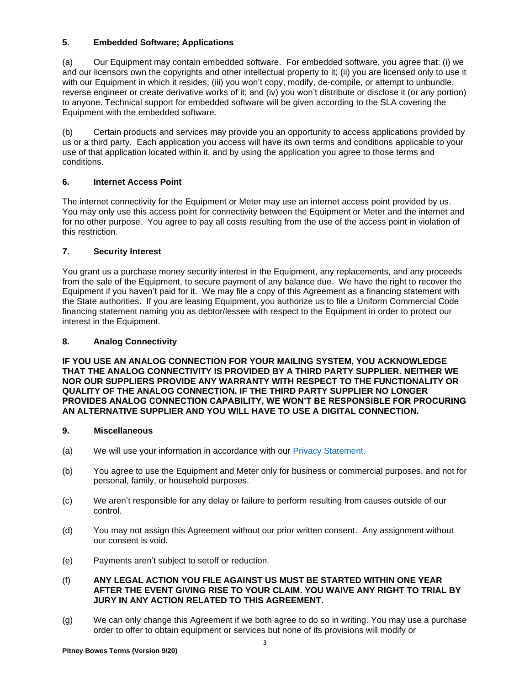# **5. Embedded Software; Applications**

(a) Our Equipment may contain embedded software. For embedded software, you agree that: (i) we and our licensors own the copyrights and other intellectual property to it; (ii) you are licensed only to use it with our Equipment in which it resides; (iii) you won't copy, modify, de-compile, or attempt to unbundle, reverse engineer or create derivative works of it; and (iv) you won't distribute or disclose it (or any portion) to anyone. Technical support for embedded software will be given according to the SLA covering the Equipment with the embedded software.

(b) Certain products and services may provide you an opportunity to access applications provided by us or a third party. Each application you access will have its own terms and conditions applicable to your use of that application located within it, and by using the application you agree to those terms and conditions.

# **6. Internet Access Point**

The internet connectivity for the Equipment or Meter may use an internet access point provided by us. You may only use this access point for connectivity between the Equipment or Meter and the internet and for no other purpose. You agree to pay all costs resulting from the use of the access point in violation of this restriction.

# **7. Security Interest**

You grant us a purchase money security interest in the Equipment, any replacements, and any proceeds from the sale of the Equipment, to secure payment of any balance due. We have the right to recover the Equipment if you haven't paid for it. We may file a copy of this Agreement as a financing statement with the State authorities. If you are leasing Equipment, you authorize us to file a Uniform Commercial Code financing statement naming you as debtor/lessee with respect to the Equipment in order to protect our interest in the Equipment.

# **8. Analog Connectivity**

**IF YOU USE AN ANALOG CONNECTION FOR YOUR MAILING SYSTEM, YOU ACKNOWLEDGE THAT THE ANALOG CONNECTIVITY IS PROVIDED BY A THIRD PARTY SUPPLIER. NEITHER WE NOR OUR SUPPLIERS PROVIDE ANY WARRANTY WITH RESPECT TO THE FUNCTIONALITY OR QUALITY OF THE ANALOG CONNECTION. IF THE THIRD PARTY SUPPLIER NO LONGER PROVIDES ANALOG CONNECTION CAPABILITY, WE WON'T BE RESPONSIBLE FOR PROCURING AN ALTERNATIVE SUPPLIER AND YOU WILL HAVE TO USE A DIGITAL CONNECTION.**

# **9. Miscellaneous**

- (a) We will use your information in accordance with our [Privacy Statement.](http://www.pitneybowes.com/us/legal/privacy-statement.html)
- (b) You agree to use the Equipment and Meter only for business or commercial purposes, and not for personal, family, or household purposes.
- (c) We aren't responsible for any delay or failure to perform resulting from causes outside of our control.
- (d) You may not assign this Agreement without our prior written consent. Any assignment without our consent is void.
- (e) Payments aren't subject to setoff or reduction.

### (f) **ANY LEGAL ACTION YOU FILE AGAINST US MUST BE STARTED WITHIN ONE YEAR AFTER THE EVENT GIVING RISE TO YOUR CLAIM. YOU WAIVE ANY RIGHT TO TRIAL BY JURY IN ANY ACTION RELATED TO THIS AGREEMENT.**

(g) We can only change this Agreement if we both agree to do so in writing. You may use a purchase order to offer to obtain equipment or services but none of its provisions will modify or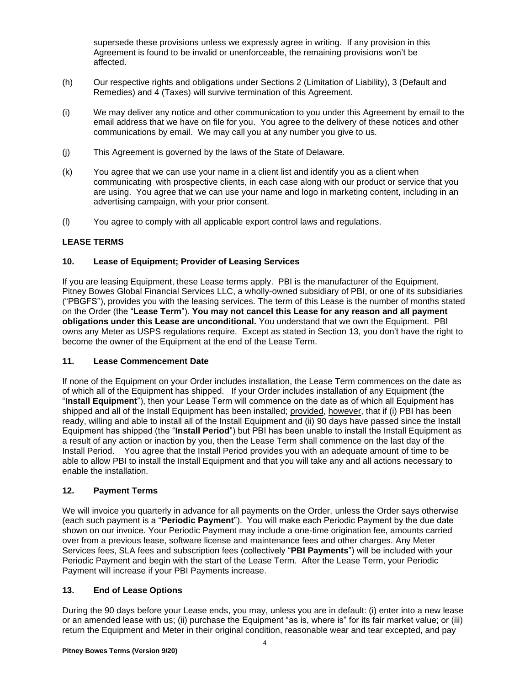supersede these provisions unless we expressly agree in writing. If any provision in this Agreement is found to be invalid or unenforceable, the remaining provisions won't be affected.

- (h) Our respective rights and obligations under Sections 2 (Limitation of Liability), 3 (Default and Remedies) and 4 (Taxes) will survive termination of this Agreement.
- (i) We may deliver any notice and other communication to you under this Agreement by email to the email address that we have on file for you. You agree to the delivery of these notices and other communications by email. We may call you at any number you give to us.
- (j) This Agreement is governed by the laws of the State of Delaware.
- (k) You agree that we can use your name in a client list and identify you as a client when communicating with prospective clients, in each case along with our product or service that you are using. You agree that we can use your name and logo in marketing content, including in an advertising campaign, with your prior consent.
- (l) You agree to comply with all applicable export control laws and regulations.

# **LEASE TERMS**

### **10. Lease of Equipment; Provider of Leasing Services**

If you are leasing Equipment, these Lease terms apply. PBI is the manufacturer of the Equipment. Pitney Bowes Global Financial Services LLC, a wholly-owned subsidiary of PBI, or one of its subsidiaries ("PBGFS"), provides you with the leasing services. The term of this Lease is the number of months stated on the Order (the "**Lease Term**"). **You may not cancel this Lease for any reason and all payment obligations under this Lease are unconditional.** You understand that we own the Equipment. PBI owns any Meter as USPS regulations require. Except as stated in Section 13, you don't have the right to become the owner of the Equipment at the end of the Lease Term.

#### **11. Lease Commencement Date**

If none of the Equipment on your Order includes installation, the Lease Term commences on the date as of which all of the Equipment has shipped. If your Order includes installation of any Equipment (the "**Install Equipment**"), then your Lease Term will commence on the date as of which all Equipment has shipped and all of the Install Equipment has been installed; provided, however, that if (i) PBI has been ready, willing and able to install all of the Install Equipment and (ii) 90 days have passed since the Install Equipment has shipped (the "**Install Period**") but PBI has been unable to install the Install Equipment as a result of any action or inaction by you, then the Lease Term shall commence on the last day of the Install Period. You agree that the Install Period provides you with an adequate amount of time to be able to allow PBI to install the Install Equipment and that you will take any and all actions necessary to enable the installation.

#### **12. Payment Terms**

We will invoice you quarterly in advance for all payments on the Order, unless the Order says otherwise (each such payment is a "**Periodic Payment**"). You will make each Periodic Payment by the due date shown on our invoice. Your Periodic Payment may include a one-time origination fee, amounts carried over from a previous lease, software license and maintenance fees and other charges. Any Meter Services fees, SLA fees and subscription fees (collectively "**PBI Payments**") will be included with your Periodic Payment and begin with the start of the Lease Term. After the Lease Term, your Periodic Payment will increase if your PBI Payments increase.

#### **13. End of Lease Options**

During the 90 days before your Lease ends, you may, unless you are in default: (i) enter into a new lease or an amended lease with us; (ii) purchase the Equipment "as is, where is" for its fair market value; or (iii) return the Equipment and Meter in their original condition, reasonable wear and tear excepted, and pay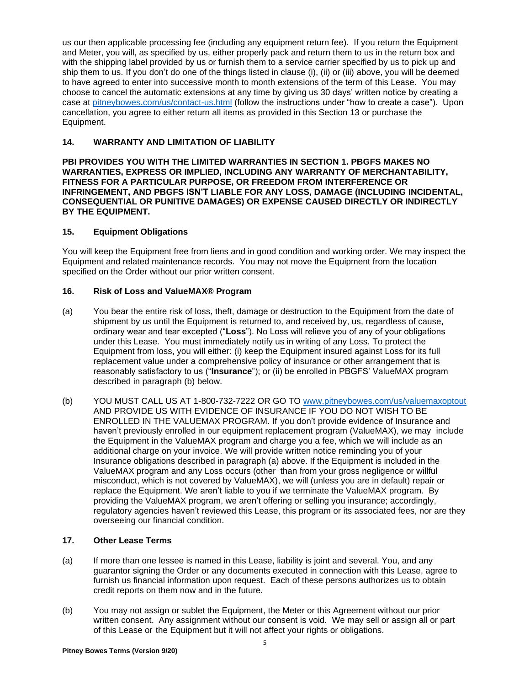us our then applicable processing fee (including any equipment return fee). If you return the Equipment and Meter, you will, as specified by us, either properly pack and return them to us in the return box and with the shipping label provided by us or furnish them to a service carrier specified by us to pick up and ship them to us. If you don't do one of the things listed in clause (i), (ii) or (iii) above, you will be deemed to have agreed to enter into successive month to month extensions of the term of this Lease. You may choose to cancel the automatic extensions at any time by giving us 30 days' written notice by creating a case at [pitneybowes.com/us/contact-us.html](http://www.pitneybowes.com/us/contact-us.html) (follow the instructions under "how to create a case"). Upon cancellation, you agree to either return all items as provided in this Section 13 or purchase the Equipment.

### **14. WARRANTY AND LIMITATION OF LIABILITY**

**PBI PROVIDES YOU WITH THE LIMITED WARRANTIES IN SECTION 1. PBGFS MAKES NO WARRANTIES, EXPRESS OR IMPLIED, INCLUDING ANY WARRANTY OF MERCHANTABILITY, FITNESS FOR A PARTICULAR PURPOSE, OR FREEDOM FROM INTERFERENCE OR INFRINGEMENT, AND PBGFS ISN'T LIABLE FOR ANY LOSS, DAMAGE (INCLUDING INCIDENTAL, CONSEQUENTIAL OR PUNITIVE DAMAGES) OR EXPENSE CAUSED DIRECTLY OR INDIRECTLY BY THE EQUIPMENT.**

### **15. Equipment Obligations**

You will keep the Equipment free from liens and in good condition and working order. We may inspect the Equipment and related maintenance records. You may not move the Equipment from the location specified on the Order without our prior written consent.

### **16. Risk of Loss and ValueMAX® Program**

- (a) You bear the entire risk of loss, theft, damage or destruction to the Equipment from the date of shipment by us until the Equipment is returned to, and received by, us, regardless of cause, ordinary wear and tear excepted ("**Loss**"). No Loss will relieve you of any of your obligations under this Lease. You must immediately notify us in writing of any Loss. To protect the Equipment from loss, you will either: (i) keep the Equipment insured against Loss for its full replacement value under a comprehensive policy of insurance or other arrangement that is reasonably satisfactory to us ("**Insurance**"); or (ii) be enrolled in PBGFS' ValueMAX program described in paragraph (b) below.
- (b) YOU MUST CALL US AT 1-800-732-7222 OR GO TO [www.pitneybowes.com/us/valuemaxoptout](http://www.pitneybowes.com/us/valuemaxoptout) AND PROVIDE US WITH EVIDENCE OF INSURANCE IF YOU DO NOT WISH TO BE ENROLLED IN THE VALUEMAX PROGRAM. If you don't provide evidence of Insurance and haven't previously enrolled in our equipment replacement program (ValueMAX), we may include the Equipment in the ValueMAX program and charge you a fee, which we will include as an additional charge on your invoice. We will provide written notice reminding you of your Insurance obligations described in paragraph (a) above. If the Equipment is included in the ValueMAX program and any Loss occurs (other than from your gross negligence or willful misconduct, which is not covered by ValueMAX), we will (unless you are in default) repair or replace the Equipment. We aren't liable to you if we terminate the ValueMAX program. By providing the ValueMAX program, we aren't offering or selling you insurance; accordingly, regulatory agencies haven't reviewed this Lease, this program or its associated fees, nor are they overseeing our financial condition.

# **17. Other Lease Terms**

- (a) If more than one lessee is named in this Lease, liability is joint and several. You, and any guarantor signing the Order or any documents executed in connection with this Lease, agree to furnish us financial information upon request. Each of these persons authorizes us to obtain credit reports on them now and in the future.
- (b) You may not assign or sublet the Equipment, the Meter or this Agreement without our prior written consent. Any assignment without our consent is void. We may sell or assign all or part of this Lease or the Equipment but it will not affect your rights or obligations.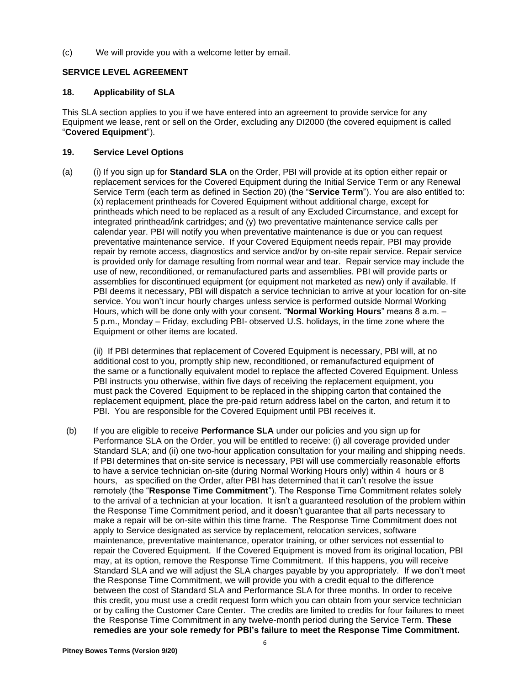(c) We will provide you with a welcome letter by email.

# **SERVICE LEVEL AGREEMENT**

## **18. Applicability of SLA**

This SLA section applies to you if we have entered into an agreement to provide service for any Equipment we lease, rent or sell on the Order, excluding any DI2000 (the covered equipment is called "**Covered Equipment**").

# **19. Service Level Options**

(a) (i) If you sign up for **Standard SLA** on the Order, PBI will provide at its option either repair or replacement services for the Covered Equipment during the Initial Service Term or any Renewal Service Term (each term as defined in Section 20) (the "**Service Term**"). You are also entitled to: (x) replacement printheads for Covered Equipment without additional charge, except for printheads which need to be replaced as a result of any Excluded Circumstance, and except for integrated printhead/ink cartridges; and (y) two preventative maintenance service calls per calendar year. PBI will notify you when preventative maintenance is due or you can request preventative maintenance service. If your Covered Equipment needs repair, PBI may provide repair by remote access, diagnostics and service and/or by on-site repair service. Repair service is provided only for damage resulting from normal wear and tear. Repair service may include the use of new, reconditioned, or remanufactured parts and assemblies. PBI will provide parts or assemblies for discontinued equipment (or equipment not marketed as new) only if available. If PBI deems it necessary, PBI will dispatch a service technician to arrive at your location for on-site service. You won't incur hourly charges unless service is performed outside Normal Working Hours, which will be done only with your consent. "**Normal Working Hours**" means 8 a.m. – 5 p.m., Monday – Friday, excluding PBI- observed U.S. holidays, in the time zone where the Equipment or other items are located.

(ii) If PBI determines that replacement of Covered Equipment is necessary, PBI will, at no additional cost to you, promptly ship new, reconditioned, or remanufactured equipment of the same or a functionally equivalent model to replace the affected Covered Equipment. Unless PBI instructs you otherwise, within five days of receiving the replacement equipment, you must pack the Covered Equipment to be replaced in the shipping carton that contained the replacement equipment, place the pre-paid return address label on the carton, and return it to PBI. You are responsible for the Covered Equipment until PBI receives it.

(b) If you are eligible to receive **Performance SLA** under our policies and you sign up for Performance SLA on the Order, you will be entitled to receive: (i) all coverage provided under Standard SLA; and (ii) one two-hour application consultation for your mailing and shipping needs. If PBI determines that on-site service is necessary, PBI will use commercially reasonable efforts to have a service technician on-site (during Normal Working Hours only) within 4 hours or 8 hours, as specified on the Order, after PBI has determined that it can't resolve the issue remotely (the "**Response Time Commitment**"). The Response Time Commitment relates solely to the arrival of a technician at your location. It isn't a guaranteed resolution of the problem within the Response Time Commitment period, and it doesn't guarantee that all parts necessary to make a repair will be on-site within this time frame. The Response Time Commitment does not apply to Service designated as service by replacement, relocation services, software maintenance, preventative maintenance, operator training, or other services not essential to repair the Covered Equipment. If the Covered Equipment is moved from its original location, PBI may, at its option, remove the Response Time Commitment. If this happens, you will receive Standard SLA and we will adjust the SLA charges payable by you appropriately. If we don't meet the Response Time Commitment, we will provide you with a credit equal to the difference between the cost of Standard SLA and Performance SLA for three months. In order to receive this credit, you must use a credit request form which you can obtain from your service technician or by calling the Customer Care Center. The credits are limited to credits for four failures to meet the Response Time Commitment in any twelve-month period during the Service Term. **These remedies are your sole remedy for PBI's failure to meet the Response Time Commitment.**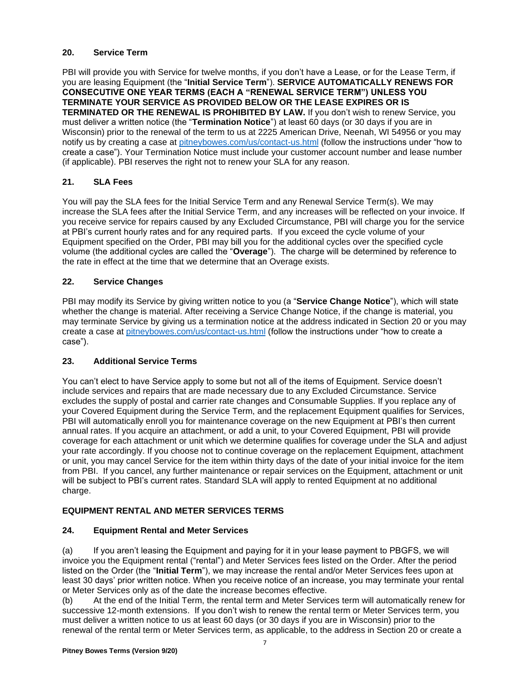# **20. Service Term**

PBI will provide you with Service for twelve months, if you don't have a Lease, or for the Lease Term, if you are leasing Equipment (the "**Initial Service Term**"). **SERVICE AUTOMATICALLY RENEWS FOR CONSECUTIVE ONE YEAR TERMS (EACH A "RENEWAL SERVICE TERM") UNLESS YOU TERMINATE YOUR SERVICE AS PROVIDED BELOW OR THE LEASE EXPIRES OR IS TERMINATED OR THE RENEWAL IS PROHIBITED BY LAW.** If you don't wish to renew Service, you must deliver a written notice (the "**Termination Notice**") at least 60 days (or 30 days if you are in Wisconsin) prior to the renewal of the term to us at 2225 American Drive, Neenah, WI 54956 or you may notify us by creating a case at [pitneybowes.com/us/contact-us.html](http://www.pitneybowes.com/us/contact-us.html) (follow the instructions under "how to create a case"). Your Termination Notice must include your customer account number and lease number (if applicable). PBI reserves the right not to renew your SLA for any reason.

# **21. SLA Fees**

You will pay the SLA fees for the Initial Service Term and any Renewal Service Term(s). We may increase the SLA fees after the Initial Service Term, and any increases will be reflected on your invoice. If you receive service for repairs caused by any Excluded Circumstance, PBI will charge you for the service at PBI's current hourly rates and for any required parts. If you exceed the cycle volume of your Equipment specified on the Order, PBI may bill you for the additional cycles over the specified cycle volume (the additional cycles are called the "**Overage**"). The charge will be determined by reference to the rate in effect at the time that we determine that an Overage exists.

### **22. Service Changes**

PBI may modify its Service by giving written notice to you (a "**Service Change Notice**"), which will state whether the change is material. After receiving a Service Change Notice, if the change is material, you may terminate Service by giving us a termination notice at the address indicated in Section 20 or you may create a case at [pitneybowes.com/us/contact-us.html](http://www.pitneybowes.com/us/contact-us.html) (follow the instructions under "how to create a case").

#### **23. Additional Service Terms**

You can't elect to have Service apply to some but not all of the items of Equipment. Service doesn't include services and repairs that are made necessary due to any Excluded Circumstance. Service excludes the supply of postal and carrier rate changes and Consumable Supplies. If you replace any of your Covered Equipment during the Service Term, and the replacement Equipment qualifies for Services, PBI will automatically enroll you for maintenance coverage on the new Equipment at PBI's then current annual rates. If you acquire an attachment, or add a unit, to your Covered Equipment, PBI will provide coverage for each attachment or unit which we determine qualifies for coverage under the SLA and adjust your rate accordingly. If you choose not to continue coverage on the replacement Equipment, attachment or unit, you may cancel Service for the item within thirty days of the date of your initial invoice for the item from PBI. If you cancel, any further maintenance or repair services on the Equipment, attachment or unit will be subject to PBI's current rates. Standard SLA will apply to rented Equipment at no additional charge.

# **EQUIPMENT RENTAL AND METER SERVICES TERMS**

#### **24. Equipment Rental and Meter Services**

(a) If you aren't leasing the Equipment and paying for it in your lease payment to PBGFS, we will invoice you the Equipment rental ("rental") and Meter Services fees listed on the Order. After the period listed on the Order (the "**Initial Term**"), we may increase the rental and/or Meter Services fees upon at least 30 days' prior written notice. When you receive notice of an increase, you may terminate your rental or Meter Services only as of the date the increase becomes effective.

(b) At the end of the Initial Term, the rental term and Meter Services term will automatically renew for successive 12-month extensions. If you don't wish to renew the rental term or Meter Services term, you must deliver a written notice to us at least 60 days (or 30 days if you are in Wisconsin) prior to the renewal of the rental term or Meter Services term, as applicable, to the address in Section 20 or create a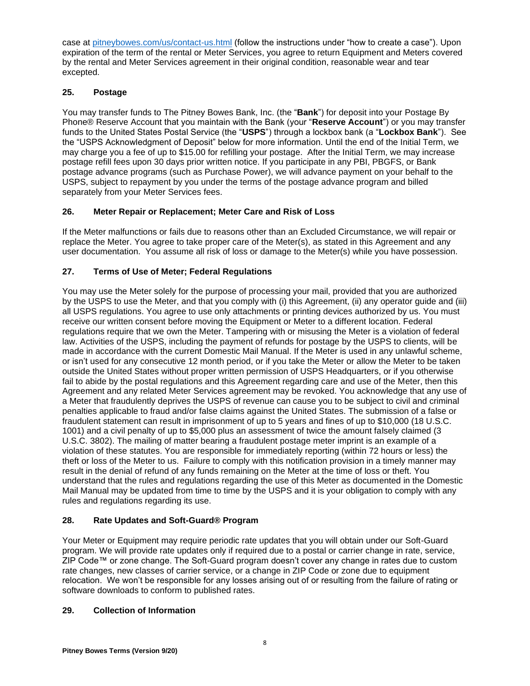case at [pitneybowes.com/us/contact-us.html](http://www.pitneybowes.com/us/contact-us.html) (follow the instructions under "how to create a case"). Upon expiration of the term of the rental or Meter Services, you agree to return Equipment and Meters covered by the rental and Meter Services agreement in their original condition, reasonable wear and tear excepted.

# **25. Postage**

You may transfer funds to The Pitney Bowes Bank, Inc. (the "**Bank**") for deposit into your Postage By Phone® Reserve Account that you maintain with the Bank (your "**Reserve Account**") or you may transfer funds to the United States Postal Service (the "**USPS**") through a lockbox bank (a "**Lockbox Bank**"). See the "USPS Acknowledgment of Deposit" below for more information. Until the end of the Initial Term, we may charge you a fee of up to \$15.00 for refilling your postage. After the Initial Term, we may increase postage refill fees upon 30 days prior written notice. If you participate in any PBI, PBGFS, or Bank postage advance programs (such as Purchase Power), we will advance payment on your behalf to the USPS, subject to repayment by you under the terms of the postage advance program and billed separately from your Meter Services fees.

# **26. Meter Repair or Replacement; Meter Care and Risk of Loss**

If the Meter malfunctions or fails due to reasons other than an Excluded Circumstance, we will repair or replace the Meter. You agree to take proper care of the Meter(s), as stated in this Agreement and any user documentation. You assume all risk of loss or damage to the Meter(s) while you have possession.

# **27. Terms of Use of Meter; Federal Regulations**

You may use the Meter solely for the purpose of processing your mail, provided that you are authorized by the USPS to use the Meter, and that you comply with (i) this Agreement, (ii) any operator guide and (iii) all USPS regulations. You agree to use only attachments or printing devices authorized by us. You must receive our written consent before moving the Equipment or Meter to a different location. Federal regulations require that we own the Meter. Tampering with or misusing the Meter is a violation of federal law. Activities of the USPS, including the payment of refunds for postage by the USPS to clients, will be made in accordance with the current Domestic Mail Manual. If the Meter is used in any unlawful scheme, or isn't used for any consecutive 12 month period, or if you take the Meter or allow the Meter to be taken outside the United States without proper written permission of USPS Headquarters, or if you otherwise fail to abide by the postal regulations and this Agreement regarding care and use of the Meter, then this Agreement and any related Meter Services agreement may be revoked. You acknowledge that any use of a Meter that fraudulently deprives the USPS of revenue can cause you to be subject to civil and criminal penalties applicable to fraud and/or false claims against the United States. The submission of a false or fraudulent statement can result in imprisonment of up to 5 years and fines of up to \$10,000 (18 U.S.C. 1001) and a civil penalty of up to \$5,000 plus an assessment of twice the amount falsely claimed (3 U.S.C. 3802). The mailing of matter bearing a fraudulent postage meter imprint is an example of a violation of these statutes. You are responsible for immediately reporting (within 72 hours or less) the theft or loss of the Meter to us. Failure to comply with this notification provision in a timely manner may result in the denial of refund of any funds remaining on the Meter at the time of loss or theft. You understand that the rules and regulations regarding the use of this Meter as documented in the Domestic Mail Manual may be updated from time to time by the USPS and it is your obligation to comply with any rules and regulations regarding its use.

# **28. Rate Updates and Soft-Guard® Program**

Your Meter or Equipment may require periodic rate updates that you will obtain under our Soft-Guard program. We will provide rate updates only if required due to a postal or carrier change in rate, service, ZIP Code™ or zone change. The Soft-Guard program doesn't cover any change in rates due to custom rate changes, new classes of carrier service, or a change in ZIP Code or zone due to equipment relocation. We won't be responsible for any losses arising out of or resulting from the failure of rating or software downloads to conform to published rates.

# **29. Collection of Information**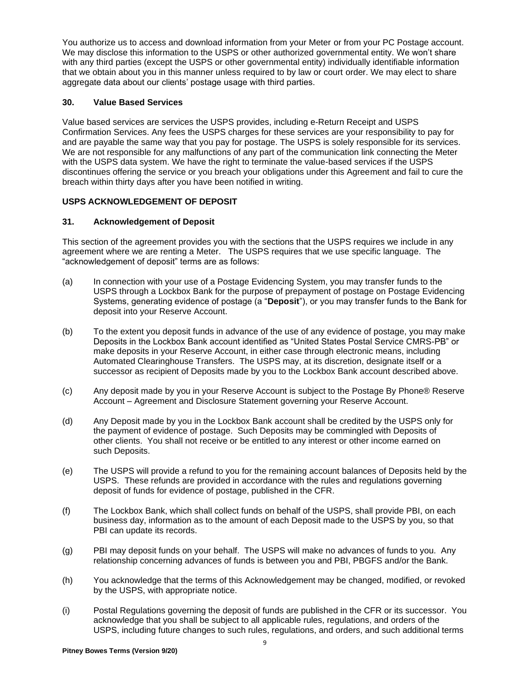You authorize us to access and download information from your Meter or from your PC Postage account. We may disclose this information to the USPS or other authorized governmental entity. We won't share with any third parties (except the USPS or other governmental entity) individually identifiable information that we obtain about you in this manner unless required to by law or court order. We may elect to share aggregate data about our clients' postage usage with third parties.

# **30. Value Based Services**

Value based services are services the USPS provides, including e-Return Receipt and USPS Confirmation Services. Any fees the USPS charges for these services are your responsibility to pay for and are payable the same way that you pay for postage. The USPS is solely responsible for its services. We are not responsible for any malfunctions of any part of the communication link connecting the Meter with the USPS data system. We have the right to terminate the value-based services if the USPS discontinues offering the service or you breach your obligations under this Agreement and fail to cure the breach within thirty days after you have been notified in writing.

# **USPS ACKNOWLEDGEMENT OF DEPOSIT**

### **31. Acknowledgement of Deposit**

This section of the agreement provides you with the sections that the USPS requires we include in any agreement where we are renting a Meter. The USPS requires that we use specific language. The "acknowledgement of deposit" terms are as follows:

- (a) In connection with your use of a Postage Evidencing System, you may transfer funds to the USPS through a Lockbox Bank for the purpose of prepayment of postage on Postage Evidencing Systems, generating evidence of postage (a "**Deposit**"), or you may transfer funds to the Bank for deposit into your Reserve Account.
- (b) To the extent you deposit funds in advance of the use of any evidence of postage, you may make Deposits in the Lockbox Bank account identified as "United States Postal Service CMRS-PB" or make deposits in your Reserve Account, in either case through electronic means, including Automated Clearinghouse Transfers. The USPS may, at its discretion, designate itself or a successor as recipient of Deposits made by you to the Lockbox Bank account described above.
- (c) Any deposit made by you in your Reserve Account is subject to the Postage By Phone® Reserve Account – Agreement and Disclosure Statement governing your Reserve Account.
- (d) Any Deposit made by you in the Lockbox Bank account shall be credited by the USPS only for the payment of evidence of postage. Such Deposits may be commingled with Deposits of other clients. You shall not receive or be entitled to any interest or other income earned on such Deposits.
- (e) The USPS will provide a refund to you for the remaining account balances of Deposits held by the USPS. These refunds are provided in accordance with the rules and regulations governing deposit of funds for evidence of postage, published in the CFR.
- (f) The Lockbox Bank, which shall collect funds on behalf of the USPS, shall provide PBI, on each business day, information as to the amount of each Deposit made to the USPS by you, so that PBI can update its records.
- (g) PBI may deposit funds on your behalf. The USPS will make no advances of funds to you. Any relationship concerning advances of funds is between you and PBI, PBGFS and/or the Bank.
- (h) You acknowledge that the terms of this Acknowledgement may be changed, modified, or revoked by the USPS, with appropriate notice.
- (i) Postal Regulations governing the deposit of funds are published in the CFR or its successor. You acknowledge that you shall be subject to all applicable rules, regulations, and orders of the USPS, including future changes to such rules, regulations, and orders, and such additional terms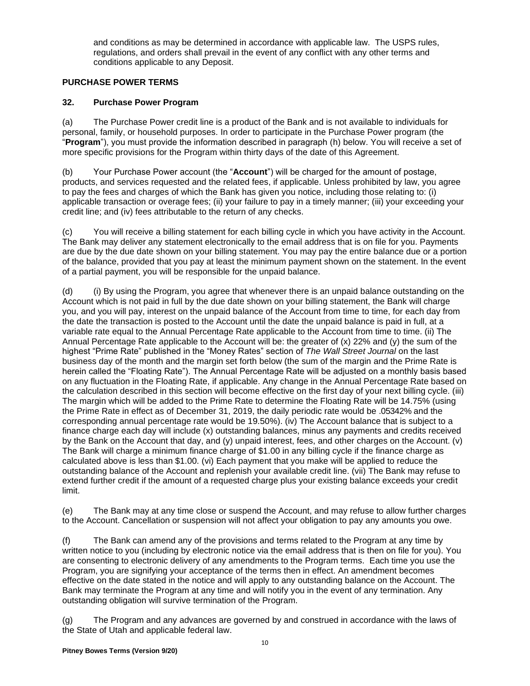and conditions as may be determined in accordance with applicable law. The USPS rules, regulations, and orders shall prevail in the event of any conflict with any other terms and conditions applicable to any Deposit.

# **PURCHASE POWER TERMS**

# **32. Purchase Power Program**

(a) The Purchase Power credit line is a product of the Bank and is not available to individuals for personal, family, or household purposes. In order to participate in the Purchase Power program (the "**Program**"), you must provide the information described in paragraph (h) below. You will receive a set of more specific provisions for the Program within thirty days of the date of this Agreement.

(b) Your Purchase Power account (the "**Account**") will be charged for the amount of postage, products, and services requested and the related fees, if applicable. Unless prohibited by law, you agree to pay the fees and charges of which the Bank has given you notice, including those relating to: (i) applicable transaction or overage fees; (ii) your failure to pay in a timely manner; (iii) your exceeding your credit line; and (iv) fees attributable to the return of any checks.

(c) You will receive a billing statement for each billing cycle in which you have activity in the Account. The Bank may deliver any statement electronically to the email address that is on file for you. Payments are due by the due date shown on your billing statement. You may pay the entire balance due or a portion of the balance, provided that you pay at least the minimum payment shown on the statement. In the event of a partial payment, you will be responsible for the unpaid balance.

(d) (i) By using the Program, you agree that whenever there is an unpaid balance outstanding on the Account which is not paid in full by the due date shown on your billing statement, the Bank will charge you, and you will pay, interest on the unpaid balance of the Account from time to time, for each day from the date the transaction is posted to the Account until the date the unpaid balance is paid in full, at a variable rate equal to the Annual Percentage Rate applicable to the Account from time to time. (ii) The Annual Percentage Rate applicable to the Account will be: the greater of (x) 22% and (y) the sum of the highest "Prime Rate" published in the "Money Rates" section of *The Wall Street Journal* on the last business day of the month and the margin set forth below (the sum of the margin and the Prime Rate is herein called the "Floating Rate"). The Annual Percentage Rate will be adjusted on a monthly basis based on any fluctuation in the Floating Rate, if applicable. Any change in the Annual Percentage Rate based on the calculation described in this section will become effective on the first day of your next billing cycle. (iii) The margin which will be added to the Prime Rate to determine the Floating Rate will be 14.75% (using the Prime Rate in effect as of December 31, 2019, the daily periodic rate would be .05342% and the corresponding annual percentage rate would be 19.50%). (iv) The Account balance that is subject to a finance charge each day will include (x) outstanding balances, minus any payments and credits received by the Bank on the Account that day, and (y) unpaid interest, fees, and other charges on the Account. (v) The Bank will charge a minimum finance charge of \$1.00 in any billing cycle if the finance charge as calculated above is less than \$1.00. (vi) Each payment that you make will be applied to reduce the outstanding balance of the Account and replenish your available credit line. (vii) The Bank may refuse to extend further credit if the amount of a requested charge plus your existing balance exceeds your credit limit.

(e) The Bank may at any time close or suspend the Account, and may refuse to allow further charges to the Account. Cancellation or suspension will not affect your obligation to pay any amounts you owe.

(f) The Bank can amend any of the provisions and terms related to the Program at any time by written notice to you (including by electronic notice via the email address that is then on file for you). You are consenting to electronic delivery of any amendments to the Program terms. Each time you use the Program, you are signifying your acceptance of the terms then in effect. An amendment becomes effective on the date stated in the notice and will apply to any outstanding balance on the Account. The Bank may terminate the Program at any time and will notify you in the event of any termination. Any outstanding obligation will survive termination of the Program.

(g) The Program and any advances are governed by and construed in accordance with the laws of the State of Utah and applicable federal law.